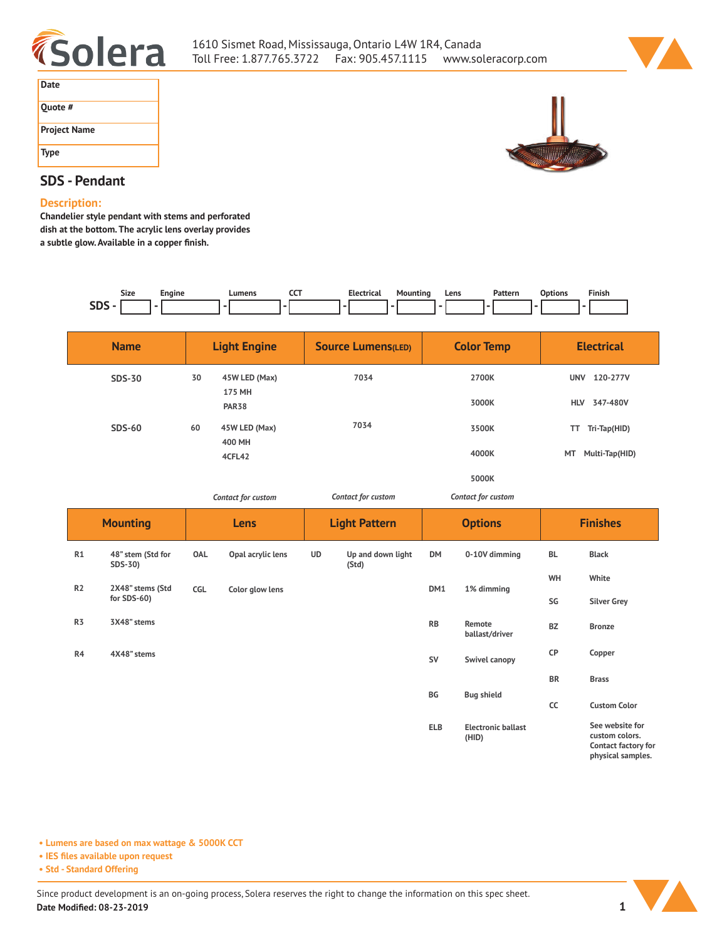



| Date                |  |
|---------------------|--|
| Quote #             |  |
| <b>Project Name</b> |  |
| <b>Type</b>         |  |



# **SDS - Pendant**

#### **Description:**

**Chandelier style pendant with stems and perforated dish at the bottom. The acrylic lens overlay provides a subtle glow. Available in a copper finish.** 

| Size          | ıaıne | umons | ---<br>$\sim$ | -- | Mountinc<br>. | Lens<br>$- - - -$ | مرور د بازیان<br>. | Jotion:<br>. | Finish |
|---------------|-------|-------|---------------|----|---------------|-------------------|--------------------|--------------|--------|
| $\sim$<br>--- |       |       |               |    |               |                   |                    |              |        |

|                | <b>Name</b>                  |                     | <b>Light Engine</b>    |           | <b>Source Lumens(LED)</b>  |            | <b>Color Temp</b>         | <b>Electrical</b>      |                     |
|----------------|------------------------------|---------------------|------------------------|-----------|----------------------------|------------|---------------------------|------------------------|---------------------|
|                | <b>SDS-30</b>                | 30<br>45W LED (Max) |                        | 7034      |                            | 2700K      |                           | 120-277V<br><b>UNV</b> |                     |
|                |                              |                     | 175 MH<br><b>PAR38</b> |           |                            |            | 3000K                     | HLV 347-480V           |                     |
|                | <b>SDS-60</b>                | 60                  |                        | 7034      |                            |            | 3500K                     | TT Tri-Tap(HID)        |                     |
|                |                              |                     | 400 MH<br>4CFL42       |           |                            |            | 4000K                     | MT<br>Multi-Tap(HID)   |                     |
|                |                              |                     |                        |           |                            | 5000K      |                           |                        |                     |
|                | Contact for custom           |                     | Contact for custom     |           | Contact for custom         |            |                           |                        |                     |
|                | <b>Mounting</b><br>Lens      |                     | <b>Light Pattern</b>   |           | <b>Options</b>             |            | <b>Finishes</b>           |                        |                     |
| R1             | 48" stem (Std for<br>SDS-30) | OAL                 | Opal acrylic lens      | <b>UD</b> | Up and down light<br>(Std) | <b>DM</b>  | 0-10V dimming             | <b>BL</b>              | <b>Black</b>        |
| R2             | 2X48" stems (Std             | CGL                 | Color glow lens        |           |                            | DM1        | 1% dimming                | WH                     | White               |
|                | for SDS-60)                  |                     |                        |           |                            |            |                           | SG                     | <b>Silver Grey</b>  |
| R <sub>3</sub> | 3X48" stems                  |                     |                        |           |                            | <b>RB</b>  | Remote<br>ballast/driver  | <b>BZ</b>              | <b>Bronze</b>       |
| R4             | 4X48" stems                  |                     |                        |           |                            | SV         | Swivel canopy             | CP                     | Copper              |
|                |                              |                     |                        |           |                            |            |                           | <b>BR</b>              | <b>Brass</b>        |
|                |                              |                     |                        |           |                            | BG         | <b>Bug shield</b>         | cc                     | <b>Custom Color</b> |
|                |                              |                     |                        |           |                            | <b>ELB</b> | <b>Electronic ballast</b> |                        | See website for     |

**(HID)**

**• Lumens are based on max wattage & 5000K CCT**

**• IES files available upon request**

**• Std - Standard Offering**



**custom colors. Contact factory for physical samples.**